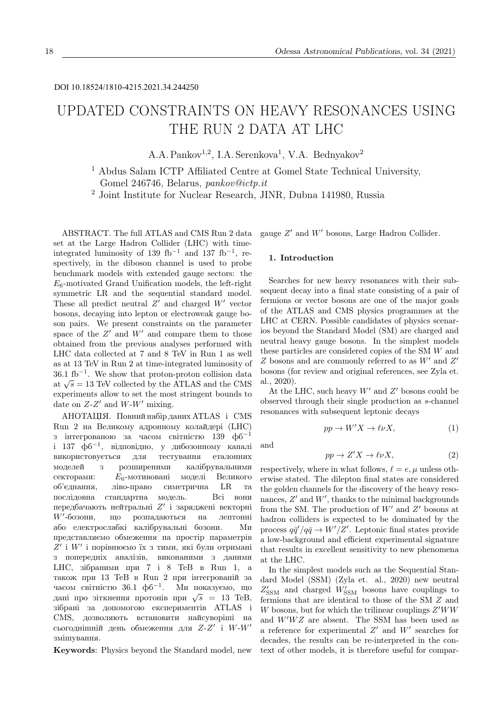# UPDATED CONSTRAINTS ON HEAVY RESONANCES USING THE RUN 2 DATA AT LHC

A.A. Pankov<sup>1,2</sup>, I.A. Serenkova<sup>1</sup>, V.A. Bednyakov<sup>2</sup>

<sup>1</sup> Abdus Salam ICTP Affiliated Centre at Gomel State Technical University, Gomel 246746, Belarus, pankov@ictp.it

<sup>2</sup> Joint Institute for Nuclear Research, JINR, Dubna 141980, Russia

ABSTRACT. The full ATLAS and CMS Run 2 data set at the Large Hadron Collider (LHC) with timeintegrated luminosity of 139 fb<sup>-1</sup> and 137 fb<sup>-1</sup>, respectively, in the diboson channel is used to probe benchmark models with extended gauge sectors: the  $E_6$ -motivated Grand Unification models, the left-right symmetric LR and the sequential standard model. These all predict neutral  $Z'$  and charged  $W'$  vector bosons, decaying into lepton or electroweak gauge boson pairs. We present constraints on the parameter space of the  $Z'$  and  $W'$  and compare them to those obtained from the previous analyses performed with LHC data collected at 7 and 8 TeV in Run 1 as well as at 13 TeV in Run 2 at time-integrated luminosity of  $36.1 \text{ fb}^{-1}$ . We show that proton-proton collision data 30.1 ID  $\alpha$  we show that proton-proton consider data at  $\sqrt{s}$  = 13 TeV collected by the ATLAS and the CMS experiments allow to set the most stringent bounds to date on  $Z-Z'$  and  $W-W'$  mixing.

АНОТАЦIЯ. Повний набiр даних ATLAS i CMS Run 2 на Великому адронному колайдерi (LHC) з інтегрованою за часом світністю 139 фб<sup>-1</sup> i 137 фб<sup>−</sup><sup>1</sup> , вiдповiдно, у дибозонному каналi використовується для тестування еталонних моделей з розширеними калiбрувальними секторами: E6-мотивованi моделi Великого об'єднання, лiво-право симетрична LR та послiдовна стандартна модель. Всi вони передбачають нейтральні  $Z'$  і заряджені векторні  $W'$ -бозони. -бозони, що розпадаються на лептоннi або електрослабкi калiбрувальнi бозони. Ми представляємо обмеження на простiр параметрiв  $Z'$  і  $W'$  і порівнюємо їх з тими, які були отримані з попереднiх аналiзiв, виконаними з даними LHC, зiбраними при 7 i 8 ТеВ в Run 1, а також при 13 ТеВ в Run 2 при iнтегрованiй за часом світністю  $36.1 \text{ }$ фб<sup>-1</sup>. Ми показуємо, що часом свитністю 50.1 фо . ми показуємо, що<br>дані про зіткнення протонів при  $\sqrt{s} = 13$  TeB, зiбранi за допомогою експериментiв ATLAS i CMS, дозволяють встановити найсуворiшi на сьогоднішній день обмеження для  $Z$ - $Z'$  i  $W$ - $W'$ змiшування.

Keywords: Physics beyond the Standard model, new

gauge  $Z'$  and  $W'$  bosons, Large Hadron Collider.

#### 1. Introduction

Searches for new heavy resonances with their subsequent decay into a final state consisting of a pair of fermions or vector bosons are one of the major goals of the ATLAS and CMS physics programmes at the LHC at CERN. Possible candidates of physics scenarios beyond the Standard Model (SM) are charged and neutral heavy gauge bosons. In the simplest models these particles are considered copies of the SM W and  $Z$  bosons and are commonly referred to as  $W'$  and  $Z'$ bosons (for review and original references, see Zyla et. al., 2020).

At the LHC, such heavy  $W'$  and  $Z'$  bosons could be observed through their single production as s-channel resonances with subsequent leptonic decays

$$
pp \to W'X \to \ell\nu X,\tag{1}
$$

and

$$
pp \to Z'X \to \ell\nu X,\tag{2}
$$

respectively, where in what follows,  $\ell = e, \mu$  unless otherwise stated. The dilepton final states are considered the golden channels for the discovery of the heavy resonances,  $Z'$  and  $W'$ , thanks to the minimal backgrounds from the SM. The production of  $W'$  and  $Z'$  bosons at hadron colliders is expected to be dominated by the process  $q\bar{q}'/q\bar{q} \to W'/Z'$ . Leptonic final states provide a low-background and efficient experimental signature that results in excellent sensitivity to new phenomena at the LHC.

In the simplest models such as the Sequential Standard Model (SSM) (Zyla et. al., 2020) new neutral  $Z'_{\rm SSM}$  and charged  $W'_{\rm SSM}$  bosons have couplings to fermions that are identical to those of the SM Z and  $W$  bosons, but for which the trilinear couplings  $Z'WW$ and  $W'WZ$  are absent. The SSM has been used as a reference for experimental  $Z'$  and  $W'$  searches for decades, the results can be re-interpreted in the context of other models, it is therefore useful for compar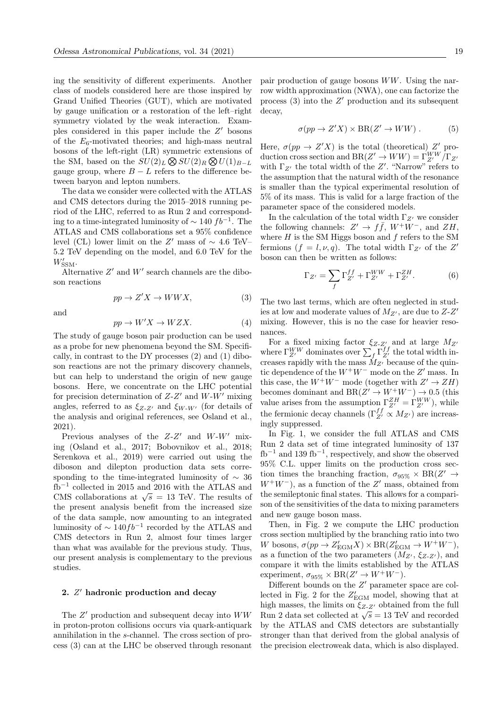ing the sensitivity of different experiments. Another class of models considered here are those inspired by Grand Unified Theories (GUT), which are motivated by gauge unification or a restoration of the left–right symmetry violated by the weak interaction. Examples considered in this paper include the  $Z'$  bosons of the  $E_6$ -motivated theories; and high-mass neutral bosons of the left-right (LR) symmetric extensions of the SM, based on the  $SU(2)_L \otimes SU(2)_R \otimes U(1)_{B-L}$ gauge group, where  $B - L$  refers to the difference between baryon and lepton numbers.

The data we consider were collected with the ATLAS and CMS detectors during the 2015–2018 running period of the LHC, referred to as Run 2 and corresponding to a time-integrated luminosity of  $\sim 140 f b^{-1}$ . The ATLAS and CMS collaborations set a 95% confidence level (CL) lower limit on the Z' mass of  $\sim 4.6$  TeV– 5.2 TeV depending on the model, and 6.0 TeV for the  $W'_{\text{SSM}}$ .

Alternative  $Z'$  and  $W'$  search channels are the diboson reactions

$$
pp \to Z'X \to WWX,\tag{3}
$$

and

$$
pp \to W'X \to WZX.
$$
 (4)

The study of gauge boson pair production can be used as a probe for new phenomena beyond the SM. Specifically, in contrast to the DY processes (2) and (1) diboson reactions are not the primary discovery channels, but can help to understand the origin of new gauge bosons. Here, we concentrate on the LHC potential for precision determination of  $Z-Z'$  and  $W-W'$  mixing angles, referred to as  $\xi_{Z-Z'}$  and  $\xi_{W-W'}$  (for details of the analysis and original references, see Osland et al., 2021).

Previous analyses of the  $Z-Z'$  and  $W-W'$  mixing (Osland et al., 2017; Bobovnikov et al., 2018; Serenkova et al., 2019) were carried out using the diboson and dilepton production data sets corresponding to the time-integrated luminosity of  $\sim$  36 fb<sup>−</sup><sup>1</sup> collected in 2015 and 2016 with the ATLAS and CMS collaborations at  $\sqrt{s} = 13$  TeV. The results of the present analysis benefit from the increased size of the data sample, now amounting to an integrated luminosity of  $\sim 140fb^{-1}$  recorded by the ATLAS and CMS detectors in Run 2, almost four times larger than what was available for the previous study. Thus, our present analysis is complementary to the previous studies.

## 2.  $Z'$  hadronic production and decay

The  $Z'$  production and subsequent decay into  $WW$ in proton-proton collisions occurs via quark-antiquark annihilation in the s-channel. The cross section of process (3) can at the LHC be observed through resonant pair production of gauge bosons WW. Using the narrow width approximation (NWA), one can factorize the process  $(3)$  into the  $Z'$  production and its subsequent decay,

$$
\sigma(pp \to Z'X) \times BR(Z' \to WW) . \tag{5}
$$

Here,  $\sigma(pp \to Z'X)$  is the total (theoretical) Z' production cross section and  $BR(Z' \to WW) = \Gamma_{Z'}^{WW}/\Gamma_{Z'}$ with  $\Gamma_{Z'}$  the total width of the  $Z'$ . "Narrow" refers to the assumption that the natural width of the resonance is smaller than the typical experimental resolution of 5% of its mass. This is valid for a large fraction of the parameter space of the considered models.

In the calculation of the total width  $\Gamma_{Z}$  we consider the following channels:  $Z' \to f\bar{f}$ ,  $W^+W^-$ , and  $ZH$ , where  $H$  is the SM Higgs boson and  $f$  refers to the SM fermions  $(f = l, \nu, q)$ . The total width  $\Gamma_{Z'}$  of the Z' boson can then be written as follows:

$$
\Gamma_{Z'} = \sum_{f} \Gamma_{Z'}^{ff} + \Gamma_{Z'}^{WW} + \Gamma_{Z'}^{ZH}.
$$
 (6)

The two last terms, which are often neglected in studies at low and moderate values of  $M_{Z'}$ , are due to  $Z$ - $Z'$ mixing. However, this is no the case for heavier resonances.

For a fixed mixing factor  $\xi_{Z-Z'}$  and at large  $M_{Z'}$ where  $\Gamma_{Z'}^{WW}$  dominates over  $\sum_{f}^{\ } \Gamma_{Z'}^{ff}$  the total width increases rapidly with the mass  $M_{Z}$  because of the quintic dependence of the  $W^+W^-$  mode on the  $Z'$  mass. In this case, the  $W^+W^-$  mode (together with  $Z' \to ZH$ ) becomes dominant and  $BR(Z' \to W^+W^-) \to 0.5$  (this value arises from the assumption  $\Gamma_{Z'}^{ZH} = \Gamma_{Z'}^{WW}$ , while the fermionic decay channels  $(\Gamma_{Z'}^{ff} \propto M_{Z'})$  are increasingly suppressed.

In Fig. 1, we consider the full ATLAS and CMS Run 2 data set of time integrated luminosity of 137  $fb^{-1}$  and 139 fb<sup>-1</sup>, respectively, and show the observed 95% C.L. upper limits on the production cross section times the branching fraction,  $\sigma_{95\%} \times BR(Z' \rightarrow$  $W^+W^-$ , as a function of the Z' mass, obtained from the semileptonic final states. This allows for a comparison of the sensitivities of the data to mixing parameters and new gauge boson mass.

Then, in Fig. 2 we compute the LHC production cross section multiplied by the branching ratio into two W bosons,  $\sigma(pp \to Z'_{\rm EGM} X) \times {\rm BR}(Z'_{\rm EGM} \to W^+W^-)$ , as a function of the two parameters  $(M_{Z}, \xi_{Z-Z'})$ , and compare it with the limits established by the ATLAS experiment,  $\sigma_{95\%} \times BR(Z' \to W^+W^-)$ .

Different bounds on the  $Z'$  parameter space are collected in Fig. 2 for the  $Z'_{\rm EGM}$  model, showing that at high masses, the limits on  $\xi_{Z-Z'}$  obtained from the full mgn masses, the mints on  $\zeta z \, z$  obtained from the run<br>Run 2 data set collected at  $\sqrt{s} = 13$  TeV and recorded by the ATLAS and CMS detectors are substantially stronger than that derived from the global analysis of the precision electroweak data, which is also displayed.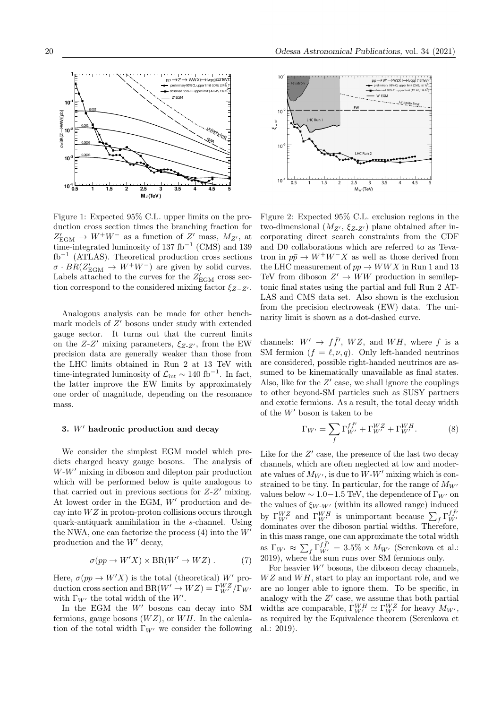

Figure 1: Expected 95% C.L. upper limits on the production cross section times the branching fraction for  $Z'_{\text{EGM}} \to W^+W^-$  as a function of  $Z'$  mass,  $M_{Z'}$ , at time-integrated luminosity of 137 fb<sup>-1</sup> (CMS) and 139 fb−<sup>1</sup> (ATLAS). Theoretical production cross sections  $\sigma \cdot BR(Z'_{\text{EGM}} \to W^+W^-)$  are given by solid curves. Labels attached to the curves for the  $Z'_{\rm EGM}$  cross section correspond to the considered mixing factor  $\xi_{Z-Z}$ .

Analogous analysis can be made for other benchmark models of  $Z'$  bosons under study with extended gauge sector. It turns out that the current limits on the  $Z-Z'$  mixing parameters,  $\xi_{Z-Z'}$ , from the EW precision data are generally weaker than those from the LHC limits obtained in Run 2 at 13 TeV with time-integrated luminosity of  $\mathcal{L}_{int} \sim 140 \text{ fb}^{-1}$ . In fact, the latter improve the EW limits by approximately one order of magnitude, depending on the resonance mass.

#### 3.  $W'$  hadronic production and decay

We consider the simplest EGM model which predicts charged heavy gauge bosons. The analysis of  $W-W'$  mixing in diboson and dilepton pair production which will be performed below is quite analogous to that carried out in previous sections for  $Z-Z'$  mixing. At lowest order in the EGM,  $W'$  production and decay into  $WZ$  in proton-proton collisions occurs through quark-antiquark annihilation in the s-channel. Using the NWA, one can factorize the process  $(4)$  into the  $W'$ production and the  $W'$  decay,

$$
\sigma(pp \to W'X) \times BR(W' \to WZ) . \tag{7}
$$

Here,  $\sigma(pp \to W'X)$  is the total (theoretical) W' production cross section and  $BR(W' \to WZ) = \Gamma_{W'}^{WZ} / \Gamma_{W'}$ with  $\Gamma_{W'}$  the total width of the W'.

In the EGM the  $W'$  bosons can decay into SM fermions, gauge bosons  $(WZ)$ , or  $WH$ . In the calculation of the total width  $\Gamma_{W}$  we consider the following



Figure 2: Expected 95% C.L. exclusion regions in the two-dimensional  $(M_{Z}, \xi_{Z,Z})$  plane obtained after incorporating direct search constraints from the CDF and D0 collaborations which are referred to as Tevatron in  $p\bar{p} \to W^+W^-X$  as well as those derived from the LHC measurement of  $pp \rightarrow WWX$  in Run 1 and 13 TeV from diboson  $Z' \to WW$  production in semileptonic final states using the partial and full Run 2 AT-LAS and CMS data set. Also shown is the exclusion from the precision electroweak (EW) data. The uninarity limit is shown as a dot-dashed curve.

channels:  $W' \rightarrow f\bar{f}'$ ,  $WZ$ , and  $WH$ , where f is a SM fermion  $(f = \ell, \nu, q)$ . Only left-handed neutrinos are considered, possible right-handed neutrinos are assumed to be kinematically unavailable as final states. Also, like for the  $Z'$  case, we shall ignore the couplings to other beyond-SM particles such as SUSY partners and exotic fermions. As a result, the total decay width of the  $W'$  boson is taken to be

$$
\Gamma_{W'} = \sum_{f} \Gamma_{W'}^{f\bar{f}'} + \Gamma_{W'}^{WZ} + \Gamma_{W'}^{WH}.
$$
 (8)

Like for the  $Z'$  case, the presence of the last two decay channels, which are often neglected at low and moderate values of  $M_{W'}$ , is due to  $W-W'$  mixing which is constrained to be tiny. In particular, for the range of  $M_{W}$ values below  $\sim 1.0-1.5$  TeV, the dependence of  $\Gamma_{W}$  on the values of  $\xi_{W-W'}$  (within its allowed range) induced by  $\Gamma_{W'}^{WZ}$  and  $\Gamma_{W'}^{WH}$  is unimportant because  $\sum_f \Gamma_{W'}^{f\bar{f}'}$ dominates over the diboson partial widths. Therefore, in this mass range, one can approximate the total width as  $\Gamma_{W'} \approx \sum_f \Gamma_{W'}^{\bar{f}\bar{f'}} = 3.5\% \times M_{W'}$  (Serenkova et al.:  $2019$ ), where the sum runs over SM fermions only.

For heavier  $W'$  bosons, the diboson decay channels,  $WZ$  and  $WH$ , start to play an important role, and we are no longer able to ignore them. To be specific, in analogy with the  $Z'$  case, we assume that both partial widths are comparable,  $\Gamma_{W'}^{WH} \simeq \Gamma_{W'}^{WZ}$  for heavy  $M_{W'}$ , as required by the Equivalence theorem (Serenkova et al.: 2019).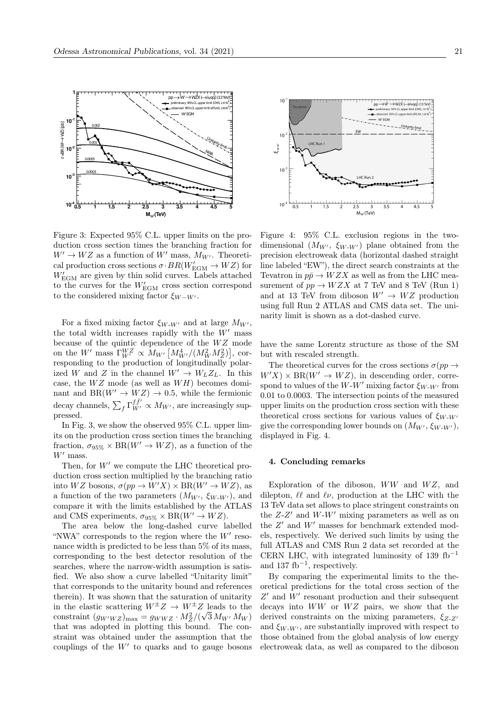

Figure 3: Expected 95% C.L. upper limits on the production cross section times the branching fraction for  $W' \to WZ$  as a function of W' mass,  $M_{W'}$ . Theoretical production cross sections  $\sigma \cdot BR(W'_{\text{EGM}} \to WZ)$  for  $W'_{\rm EGM}$  are given by thin solid curves. Labels attached to the curves for the  $W'_{\text{EGM}}$  cross section correspond to the considered mixing factor  $\xi_{W-W'}$ .

For a fixed mixing factor  $\xi_{W-W'}$  and at large  $M_{W'}$ , the total width increases rapidly with the  $W'$  mass because of the quintic dependence of the  $WZ$  mode on the W' mass  $\Gamma_{W'}^{WZ} \propto M_{W'} \left[ M_{W'}^4 / (M_W^2 M_Z^2) \right]$ , corresponding to the production of longitudinally polarized W and Z in the channel  $W' \to W_L Z_L$ . In this case, the  $WZ$  mode (as well as  $WH$ ) becomes dominant and BR( $W' \rightarrow WZ$ )  $\rightarrow$  0.5, while the fermionic decay channels,  $\sum_f \Gamma_{W'}^{f\bar{f}'} \propto M_{W'}$ , are increasingly suppressed.

In Fig. 3, we show the observed 95% C.L. upper limits on the production cross section times the branching fraction,  $\sigma_{95\%} \times BR(W' \to WZ)$ , as a function of the  $W'$  mass.

Then, for  $W'$  we compute the LHC theoretical production cross section multiplied by the branching ratio into  $WZ$  bosons,  $\sigma(pp \to W'X) \times BR(W' \to WZ)$ , as a function of the two parameters  $(M_{W'}, \xi_{W-W'})$ , and compare it with the limits established by the ATLAS and CMS experiments,  $\sigma_{95\%} \times BR(W' \to WZ)$ .

The area below the long-dashed curve labelled "NWA" corresponds to the region where the  $W'$  resonance width is predicted to be less than 5% of its mass, corresponding to the best detector resolution of the searches, where the narrow-width assumption is satisfied. We also show a curve labelled "Unitarity limit" that corresponds to the unitarity bound and references therein). It was shown that the saturation of unitarity in the elastic scattering  $W^{\pm}Z \rightarrow W^{\pm}Z$  leads to the constraint  $(g_{W'WZ})_{\text{max}} = g_{WWZ} \cdot M_Z^2 / (\sqrt{3} M_{W'} M_W)$ that was adopted in plotting this bound. The constraint was obtained under the assumption that the couplings of the  $W'$  to quarks and to gauge bosons



Figure 4: 95% C.L. exclusion regions in the twodimensional  $(M_{W'}, \xi_{W-W'})$  plane obtained from the precision electroweak data (horizontal dashed straight line labeled "EW"), the direct search constraints at the Tevatron in  $p\bar{p} \to WZX$  as well as from the LHC measurement of  $pp \rightarrow WZX$  at 7 TeV and 8 TeV (Run 1) and at 13 TeV from diboson  $W' \to WZ$  production using full Run 2 ATLAS and CMS data set. The uninarity limit is shown as a dot-dashed curve.

have the same Lorentz structure as those of the SM but with rescaled strength.

The theoretical curves for the cross sections  $\sigma(pp \to$  $W'X \times BR(W' \rightarrow WZ)$ , in descending order, correspond to values of the W-W' mixing factor  $\xi_{W-W'}$  from 0.01 to 0.0003. The intersection points of the measured upper limits on the production cross section with these theoretical cross sections for various values of  $\xi_{W-W}$ give the corresponding lower bounds on  $(M_{W'}, \xi_{W-W'})$ , displayed in Fig. 4.

### 4. Concluding remarks

Exploration of the diboson,  $WW$  and  $WZ$ , and dilepton,  $\ell\ell$  and  $\ell\nu$ , production at the LHC with the 13 TeV data set allows to place stringent constraints on the  $Z-Z'$  and  $W-W'$  mixing parameters as well as on the  $Z'$  and  $W'$  masses for benchmark extended models, respectively. We derived such limits by using the full ATLAS and CMS Run 2 data set recorded at the CERN LHC, with integrated luminosity of 139 fb<sup>-1</sup> and 137 fb<sup>−</sup><sup>1</sup> , respectively.

By comparing the experimental limits to the theoretical predictions for the total cross section of the  $Z'$  and  $W'$  resonant production and their subsequent decays into  $WW$  or  $WZ$  pairs, we show that the derived constraints on the mixing parameters,  $\xi_{z-z}$ and  $\xi_{W-W'}$ , are substantially improved with respect to those obtained from the global analysis of low energy electroweak data, as well as compared to the diboson